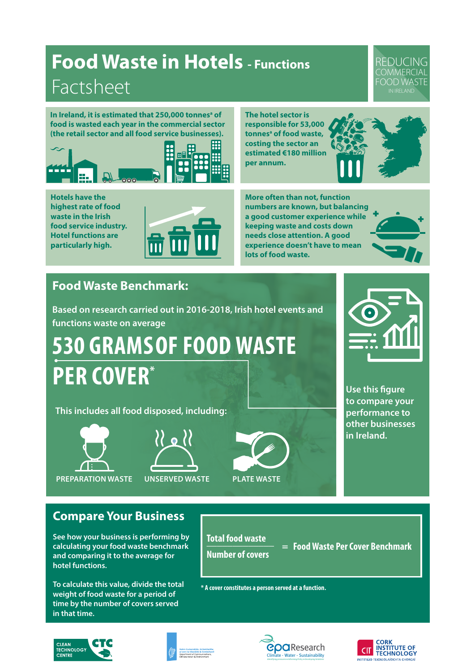## **Food Waste in Hotels - Functions** Factsheet

REDUCING **COMMERCIAL** FOOD WASTE

In Ireland, it is estimated that 250,000 tonnes<sup>a</sup> of **food is wasted each year in the commercial sector (the retail sector and all food service businesses).** 



**The hotel sector is responsible for 53,000**  tonnes<sup>a</sup> of food waste, **costing the sector an estimated €180 million per annum.**



**Hotels have the highest rate of food waste in the Irish food service industry. Hotel functions are particularly high.**



**More often than not, function numbers are known, but balancing a good customer experience while keeping waste and costs down needs close attention. A good experience doesn't have to mean lots of food waste.**

### **Food Waste Benchmark:**

**Based on research carried out in 2016-2018, Irish hotel events and functions waste on average** 

**530 GRAMS OF FOOD WASTE PER COVER\***

**This includes all food disposed, including:**









**Use this figure to compare your performance to other businesses in Ireland.** 

**Compare Your Business**

**See how your business is performing by calculating your food waste benchmark and comparing it to the average for hotel functions.**

**To calculate this value, divide the total weight of food waste for a period of time by the number of covers served in that time.**

**Total food waste \_\_\_\_\_\_\_\_\_\_\_\_\_ Number of covers**

 **= Food Waste Per Cover Benchmark**

**\* A cover constitutes a person served at a function.**